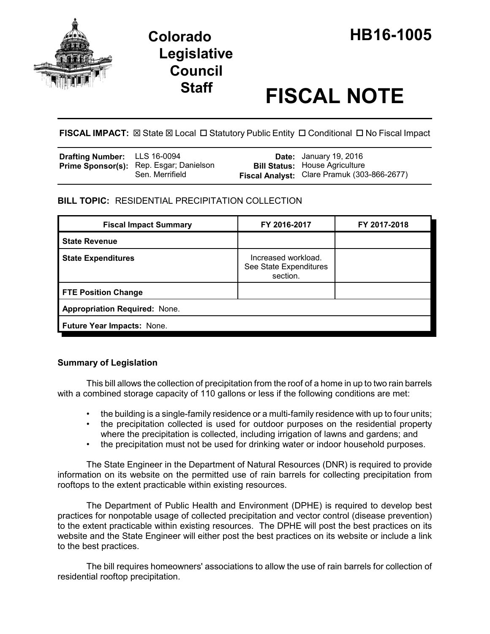

# **Staff FISCAL NOTE**

FISCAL IMPACT:  $\boxtimes$  State  $\boxtimes$  Local  $\Box$  Statutory Public Entity  $\Box$  Conditional  $\Box$  No Fiscal Impact

| Drafting Number: LLS 16-0094 |                                                                   | <b>Date:</b> January 19, 2016                                                        |
|------------------------------|-------------------------------------------------------------------|--------------------------------------------------------------------------------------|
|                              | <b>Prime Sponsor(s):</b> Rep. Esgar; Danielson<br>Sen. Merrifield | <b>Bill Status:</b> House Agriculture<br>Fiscal Analyst: Clare Pramuk (303-866-2677) |

## **BILL TOPIC:** RESIDENTIAL PRECIPITATION COLLECTION

| <b>Fiscal Impact Summary</b>         | FY 2016-2017                                              | FY 2017-2018 |  |  |
|--------------------------------------|-----------------------------------------------------------|--------------|--|--|
| <b>State Revenue</b>                 |                                                           |              |  |  |
| <b>State Expenditures</b>            | Increased workload.<br>See State Expenditures<br>section. |              |  |  |
| <b>FTE Position Change</b>           |                                                           |              |  |  |
| <b>Appropriation Required: None.</b> |                                                           |              |  |  |
| Future Year Impacts: None.           |                                                           |              |  |  |

### **Summary of Legislation**

This bill allows the collection of precipitation from the roof of a home in up to two rain barrels with a combined storage capacity of 110 gallons or less if the following conditions are met:

- the building is a single-family residence or a multi-family residence with up to four units;
- the precipitation collected is used for outdoor purposes on the residential property where the precipitation is collected, including irrigation of lawns and gardens; and
- the precipitation must not be used for drinking water or indoor household purposes.

The State Engineer in the Department of Natural Resources (DNR) is required to provide information on its website on the permitted use of rain barrels for collecting precipitation from rooftops to the extent practicable within existing resources.

The Department of Public Health and Environment (DPHE) is required to develop best practices for nonpotable usage of collected precipitation and vector control (disease prevention) to the extent practicable within existing resources. The DPHE will post the best practices on its website and the State Engineer will either post the best practices on its website or include a link to the best practices.

The bill requires homeowners' associations to allow the use of rain barrels for collection of residential rooftop precipitation.